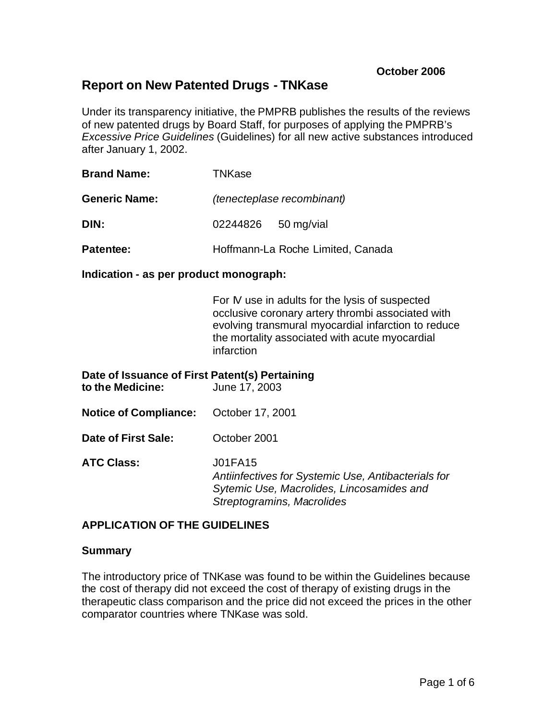# **Report on New Patented Drugs - TNKase**

Under its transparency initiative, the PMPRB publishes the results of the reviews of new patented drugs by Board Staff, for purposes of applying the PMPRB's *Excessive Price Guidelines* (Guidelines) for all new active substances introduced after January 1, 2002.

| <b>Brand Name:</b>   | <b>TNKase</b>                     |                                   |  |
|----------------------|-----------------------------------|-----------------------------------|--|
| <b>Generic Name:</b> | <i>(tenecteplase recombinant)</i> |                                   |  |
| DIN:                 | 02244826 50 mg/vial               |                                   |  |
| Patentee:            |                                   | Hoffmann-La Roche Limited, Canada |  |

#### **Indication - as per product monograph:**

For IV use in adults for the lysis of suspected occlusive coronary artery thrombi associated with evolving transmural myocardial infarction to reduce the mortality associated with acute myocardial infarction

## **Date of Issuance of First Patent(s) Pertaining**

| to the Medicine: | June 17, 2003 |
|------------------|---------------|
|                  |               |

- **Notice of Compliance:** October 17, 2001
- **Date of First Sale:** October 2001

**ATC Class:** J01FA15 *Antiinfectives for Systemic Use, Antibacterials for Sytemic Use, Macrolides, Lincosamides and Streptogramins, Macrolides*

### **APPLICATION OF THE GUIDELINES**

### **Summary**

The introductory price of TNKase was found to be within the Guidelines because the cost of therapy did not exceed the cost of therapy of existing drugs in the therapeutic class comparison and the price did not exceed the prices in the other comparator countries where TNKase was sold.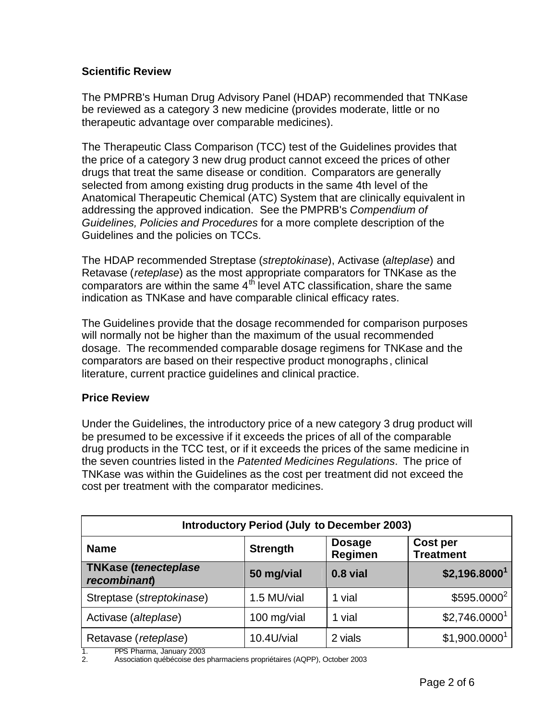## **Scientific Review**

The PMPRB's Human Drug Advisory Panel (HDAP) recommended that TNKase be reviewed as a category 3 new medicine (provides moderate, little or no therapeutic advantage over comparable medicines).

The Therapeutic Class Comparison (TCC) test of the Guidelines provides that the price of a category 3 new drug product cannot exceed the prices of other drugs that treat the same disease or condition. Comparators are generally selected from among existing drug products in the same 4th level of the Anatomical Therapeutic Chemical (ATC) System that are clinically equivalent in addressing the approved indication. See the PMPRB's *Compendium of Guidelines, Policies and Procedures* for a more complete description of the Guidelines and the policies on TCCs.

The HDAP recommended Streptase (*streptokinase*), Activase (*alteplase*) and Retavase (*reteplase*) as the most appropriate comparators for TNKase as the comparators are within the same  $4<sup>th</sup>$  level ATC classification, share the same indication as TNKase and have comparable clinical efficacy rates.

The Guidelines provide that the dosage recommended for comparison purposes will normally not be higher than the maximum of the usual recommended dosage. The recommended comparable dosage regimens for TNKase and the comparators are based on their respective product monographs , clinical literature, current practice guidelines and clinical practice.

### **Price Review**

Under the Guidelines, the introductory price of a new category 3 drug product will be presumed to be excessive if it exceeds the prices of all of the comparable drug products in the TCC test, or if it exceeds the prices of the same medicine in the seven countries listed in the *Patented Medicines Regulations*. The price of TNKase was within the Guidelines as the cost per treatment did not exceed the cost per treatment with the comparator medicines.

| <b>Introductory Period (July to December 2003)</b> |                 |                          |                                     |  |  |
|----------------------------------------------------|-----------------|--------------------------|-------------------------------------|--|--|
| <b>Name</b>                                        | <b>Strength</b> | <b>Dosage</b><br>Regimen | <b>Cost per</b><br><b>Treatment</b> |  |  |
| <b>TNKase (tenecteplase</b><br>recombinant         | 50 mg/vial      | $0.8$ vial               | \$2,196.8000 <sup>1</sup>           |  |  |
| Streptase (streptokinase)                          | 1.5 MU/vial     | 1 vial                   | \$595.0000 <sup>2</sup>             |  |  |
| Activase (alteplase)                               | 100 mg/vial     | 1 vial                   | \$2,746.0000 <sup>1</sup>           |  |  |
| Retavase (reteplase)<br><b>BBC BL</b><br>$\cdots$  | 10.4U/vial      | 2 vials                  | \$1,900.0000 <sup>1</sup>           |  |  |

1. PPS Pharma, January 2003

2. Association québécoise des pharmaciens propriétaires (AQPP), October 2003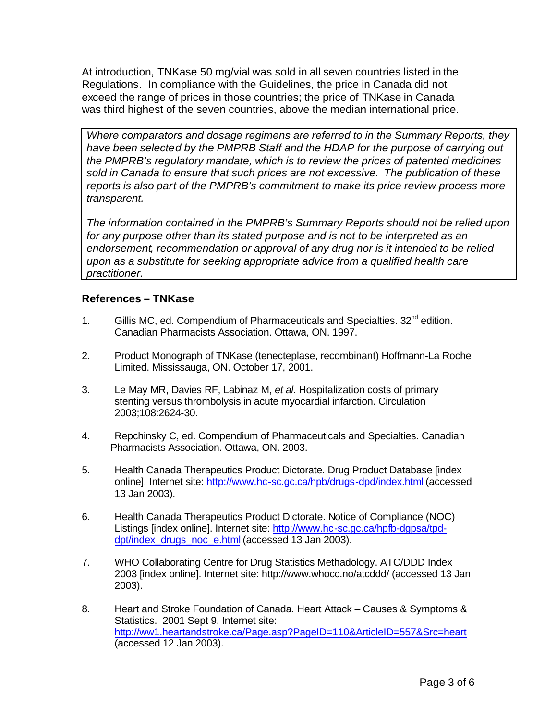At introduction, TNKase 50 mg/vial was sold in all seven countries listed in the Regulations. In compliance with the Guidelines, the price in Canada did not exceed the range of prices in those countries; the price of TNKase in Canada was third highest of the seven countries, above the median international price.

*Where comparators and dosage regimens are referred to in the Summary Reports, they have been selected by the PMPRB Staff and the HDAP for the purpose of carrying out the PMPRB's regulatory mandate, which is to review the prices of patented medicines sold in Canada to ensure that such prices are not excessive. The publication of these reports is also part of the PMPRB's commitment to make its price review process more transparent.*

*The information contained in the PMPRB's Summary Reports should not be relied upon for any purpose other than its stated purpose and is not to be interpreted as an*  endorsement, recommendation or approval of any drug nor is it intended to be relied *upon as a substitute for seeking appropriate advice from a qualified health care practitioner.*

### **References – TNKase**

- 1. Gillis MC, ed. Compendium of Pharmaceuticals and Specialties. 32<sup>nd</sup> edition. Canadian Pharmacists Association. Ottawa, ON. 1997.
- 2. Product Monograph of TNKase (tenecteplase, recombinant) Hoffmann-La Roche Limited. Mississauga, ON. October 17, 2001.
- 3. Le May MR, Davies RF, Labinaz M, *et al*. Hospitalization costs of primary stenting versus thrombolysis in acute myocardial infarction. Circulation 2003;108:2624-30.
- 4. Repchinsky C, ed. Compendium of Pharmaceuticals and Specialties. Canadian Pharmacists Association. Ottawa, ON. 2003.
- 5. Health Canada Therapeutics Product Dictorate. Drug Product Database [index online]. Internet site: http://www.hc-sc.gc.ca/hpb/drugs-dpd/index.html (accessed 13 Jan 2003).
- 6. Health Canada Therapeutics Product Dictorate. Notice of Compliance (NOC) Listings [index online]. Internet site: http://www.hc-sc.gc.ca/hpfb-dgpsa/tpddpt/index\_drugs\_noc\_e.html (accessed 13 Jan 2003).
- 7. WHO Collaborating Centre for Drug Statistics Methadology. ATC/DDD Index 2003 [index online]. Internet site: http://www.whocc.no/atcddd/ (accessed 13 Jan 2003).
- 8. Heart and Stroke Foundation of Canada. Heart Attack Causes & Symptoms & Statistics. 2001 Sept 9. Internet site: http://ww1.heartandstroke.ca/Page.asp?PageID=110&ArticleID=557&Src=heart (accessed 12 Jan 2003).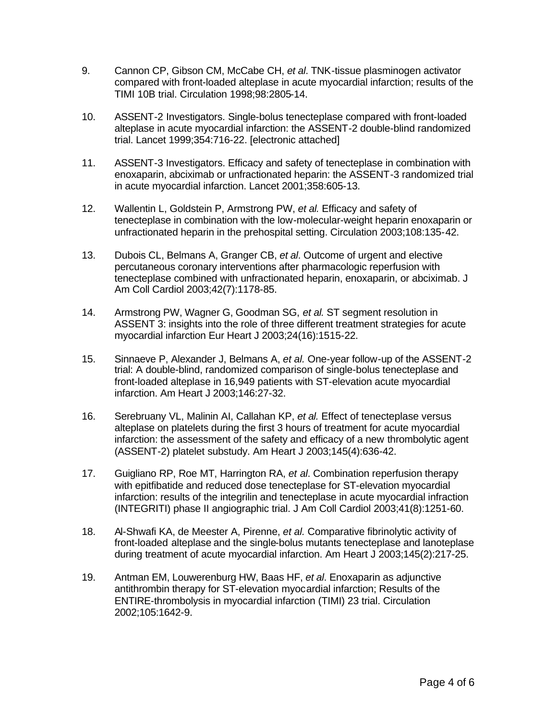- 9. Cannon CP, Gibson CM, McCabe CH, *et al*. TNK-tissue plasminogen activator compared with front-loaded alteplase in acute myocardial infarction; results of the TIMI 10B trial. Circulation 1998;98:2805-14.
- 10. ASSENT-2 Investigators. Single-bolus tenecteplase compared with front-loaded alteplase in acute myocardial infarction: the ASSENT-2 double-blind randomized trial. Lancet 1999;354:716-22. [electronic attached]
- 11. ASSENT-3 Investigators. Efficacy and safety of tenecteplase in combination with enoxaparin, abciximab or unfractionated heparin: the ASSENT-3 randomized trial in acute myocardial infarction. Lancet 2001;358:605-13.
- 12. Wallentin L, Goldstein P, Armstrong PW, *et al.* Efficacy and safety of tenecteplase in combination with the low-molecular-weight heparin enoxaparin or unfractionated heparin in the prehospital setting. Circulation 2003;108:135-42.
- 13. Dubois CL, Belmans A, Granger CB, *et al*. Outcome of urgent and elective percutaneous coronary interventions after pharmacologic reperfusion with tenecteplase combined with unfractionated heparin, enoxaparin, or abciximab. J Am Coll Cardiol 2003;42(7):1178-85.
- 14. Armstrong PW, Wagner G, Goodman SG, *et al.* ST segment resolution in ASSENT 3: insights into the role of three different treatment strategies for acute myocardial infarction Eur Heart J 2003;24(16):1515-22.
- 15. Sinnaeve P, Alexander J, Belmans A, *et al.* One-year follow-up of the ASSENT-2 trial: A double-blind, randomized comparison of single-bolus tenecteplase and front-loaded alteplase in 16,949 patients with ST-elevation acute myocardial infarction. Am Heart J 2003;146:27-32.
- 16. Serebruany VL, Malinin AI, Callahan KP, *et al.* Effect of tenecteplase versus alteplase on platelets during the first 3 hours of treatment for acute myocardial infarction: the assessment of the safety and efficacy of a new thrombolytic agent (ASSENT-2) platelet substudy. Am Heart J 2003;145(4):636-42.
- 17. Guigliano RP, Roe MT, Harrington RA, *et al*. Combination reperfusion therapy with epitfibatide and reduced dose tenecteplase for ST-elevation myocardial infarction: results of the integrilin and tenecteplase in acute myocardial infraction (INTEGRITI) phase II angiographic trial. J Am Coll Cardiol 2003;41(8):1251-60.
- 18. Al-Shwafi KA, de Meester A, Pirenne, *et al.* Comparative fibrinolytic activity of front-loaded alteplase and the single-bolus mutants tenecteplase and lanoteplase during treatment of acute myocardial infarction. Am Heart J 2003;145(2):217-25.
- 19. Antman EM, Louwerenburg HW, Baas HF, *et al*. Enoxaparin as adjunctive antithrombin therapy for ST-elevation myocardial infarction; Results of the ENTIRE-thrombolysis in myocardial infarction (TIMI) 23 trial. Circulation 2002;105:1642-9.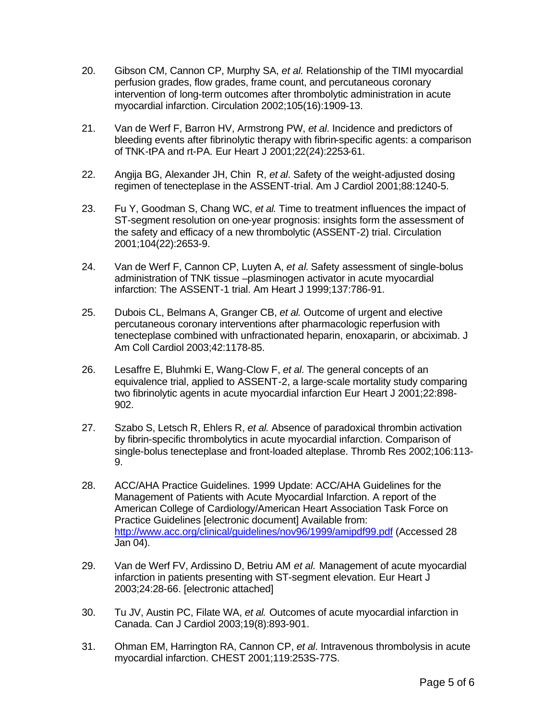- 20. Gibson CM, Cannon CP, Murphy SA, *et al.* Relationship of the TIMI myocardial perfusion grades, flow grades, frame count, and percutaneous coronary intervention of long-term outcomes after thrombolytic administration in acute myocardial infarction. Circulation 2002;105(16):1909-13.
- 21. Van de Werf F, Barron HV, Armstrong PW, *et al*. Incidence and predictors of bleeding events after fibrinolytic therapy with fibrin-specific agents: a comparison of TNK-tPA and rt-PA. Eur Heart J 2001;22(24):2253-61.
- 22. Angija BG, Alexander JH, Chin R, *et al*. Safety of the weight-adjusted dosing regimen of tenecteplase in the ASSENT-trial. Am J Cardiol 2001;88:1240-5.
- 23. Fu Y, Goodman S, Chang WC, *et al.* Time to treatment influences the impact of ST-segment resolution on one-year prognosis: insights form the assessment of the safety and efficacy of a new thrombolytic (ASSENT-2) trial. Circulation 2001;104(22):2653-9.
- 24. Van de Werf F, Cannon CP, Luyten A, *et al*. Safety assessment of single-bolus administration of TNK tissue –plasminogen activator in acute myocardial infarction: The ASSENT-1 trial. Am Heart J 1999;137:786-91.
- 25. Dubois CL, Belmans A, Granger CB, *et al.* Outcome of urgent and elective percutaneous coronary interventions after pharmacologic reperfusion with tenecteplase combined with unfractionated heparin, enoxaparin, or abciximab. J Am Coll Cardiol 2003;42:1178-85.
- 26. Lesaffre E, Bluhmki E, Wang-Clow F, *et al*. The general concepts of an equivalence trial, applied to ASSENT-2, a large-scale mortality study comparing two fibrinolytic agents in acute myocardial infarction Eur Heart J 2001;22:898- 902.
- 27. Szabo S, Letsch R, Ehlers R, *et al.* Absence of paradoxical thrombin activation by fibrin-specific thrombolytics in acute myocardial infarction. Comparison of single-bolus tenecteplase and front-loaded alteplase. Thromb Res 2002;106:113- 9.
- 28. ACC/AHA Practice Guidelines. 1999 Update: ACC/AHA Guidelines for the Management of Patients with Acute Myocardial Infarction. A report of the American College of Cardiology/American Heart Association Task Force on Practice Guidelines [electronic document] Available from: http://www.acc.org/clinical/guidelines/nov96/1999/amipdf99.pdf (Accessed 28 Jan 04).
- 29. Van de Werf FV, Ardissino D, Betriu AM *et al.* Management of acute myocardial infarction in patients presenting with ST-segment elevation. Eur Heart J 2003;24:28-66. [electronic attached]
- 30. Tu JV, Austin PC, Filate WA, *et al.* Outcomes of acute myocardial infarction in Canada. Can J Cardiol 2003;19(8):893-901.
- 31. Ohman EM, Harrington RA, Cannon CP, *et al*. Intravenous thrombolysis in acute myocardial infarction. CHEST 2001;119:253S-77S.